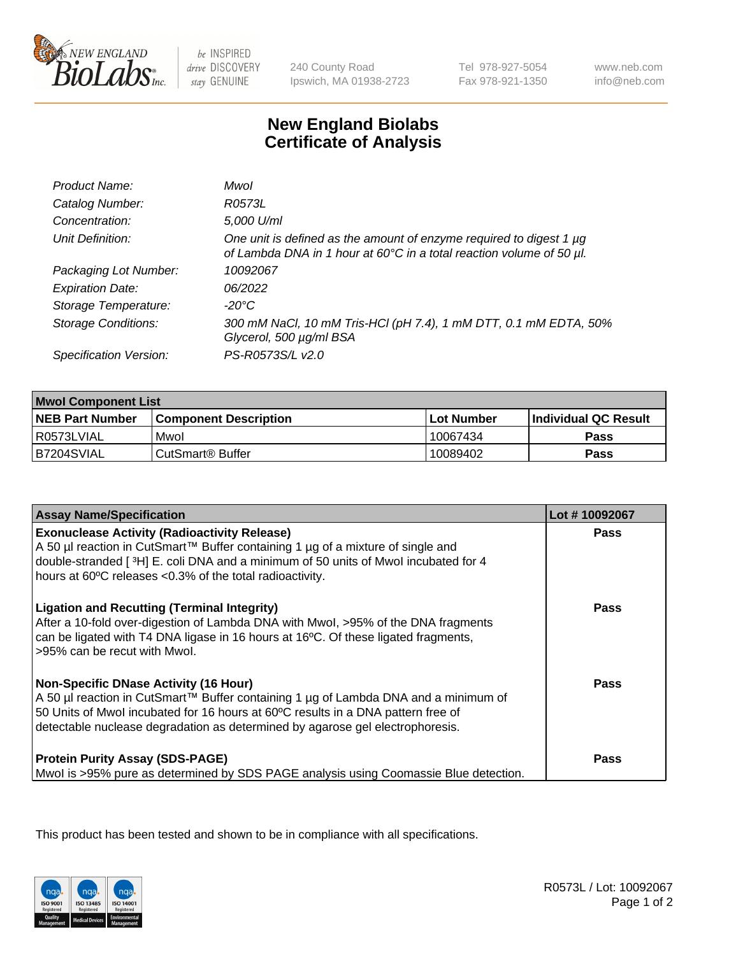

be INSPIRED drive DISCOVERY stay GENUINE

240 County Road Ipswich, MA 01938-2723 Tel 978-927-5054 Fax 978-921-1350

www.neb.com info@neb.com

## **New England Biolabs Certificate of Analysis**

| Product Name:              | Mwol                                                                                                                                        |
|----------------------------|---------------------------------------------------------------------------------------------------------------------------------------------|
| Catalog Number:            | R0573L                                                                                                                                      |
| Concentration:             | 5,000 U/ml                                                                                                                                  |
| Unit Definition:           | One unit is defined as the amount of enzyme required to digest 1 µg<br>of Lambda DNA in 1 hour at 60°C in a total reaction volume of 50 µl. |
| Packaging Lot Number:      | 10092067                                                                                                                                    |
| <b>Expiration Date:</b>    | 06/2022                                                                                                                                     |
| Storage Temperature:       | $-20^{\circ}$ C                                                                                                                             |
| <b>Storage Conditions:</b> | 300 mM NaCl, 10 mM Tris-HCl (pH 7.4), 1 mM DTT, 0.1 mM EDTA, 50%<br>Glycerol, 500 µg/ml BSA                                                 |
| Specification Version:     | PS-R0573S/L v2.0                                                                                                                            |

| <b>Mwol Component List</b> |                              |             |                             |  |
|----------------------------|------------------------------|-------------|-----------------------------|--|
| <b>NEB Part Number</b>     | <b>Component Description</b> | ⊺Lot Number | <b>Individual QC Result</b> |  |
| I R0573LVIAL               | Mwol                         | 10067434    | Pass                        |  |
| B7204SVIAL                 | l CutSmart® Buffer           | 10089402    | Pass                        |  |

| <b>Assay Name/Specification</b>                                                                                                                                                                                                                                                                          | Lot #10092067 |
|----------------------------------------------------------------------------------------------------------------------------------------------------------------------------------------------------------------------------------------------------------------------------------------------------------|---------------|
| <b>Exonuclease Activity (Radioactivity Release)</b><br>A 50 µl reaction in CutSmart™ Buffer containing 1 µg of a mixture of single and<br>double-stranded [3H] E. coli DNA and a minimum of 50 units of Mwol incubated for 4<br>hours at 60°C releases <0.3% of the total radioactivity.                 | <b>Pass</b>   |
| <b>Ligation and Recutting (Terminal Integrity)</b><br>After a 10-fold over-digestion of Lambda DNA with Mwol, >95% of the DNA fragments<br>can be ligated with T4 DNA ligase in 16 hours at 16°C. Of these ligated fragments,<br>>95% can be recut with Mwol.                                            | Pass          |
| <b>Non-Specific DNase Activity (16 Hour)</b><br>A 50 µl reaction in CutSmart™ Buffer containing 1 µg of Lambda DNA and a minimum of<br>50 Units of Mwol incubated for 16 hours at 60°C results in a DNA pattern free of<br>detectable nuclease degradation as determined by agarose gel electrophoresis. | Pass          |
| <b>Protein Purity Assay (SDS-PAGE)</b><br>Mwol is >95% pure as determined by SDS PAGE analysis using Coomassie Blue detection.                                                                                                                                                                           | Pass          |

This product has been tested and shown to be in compliance with all specifications.